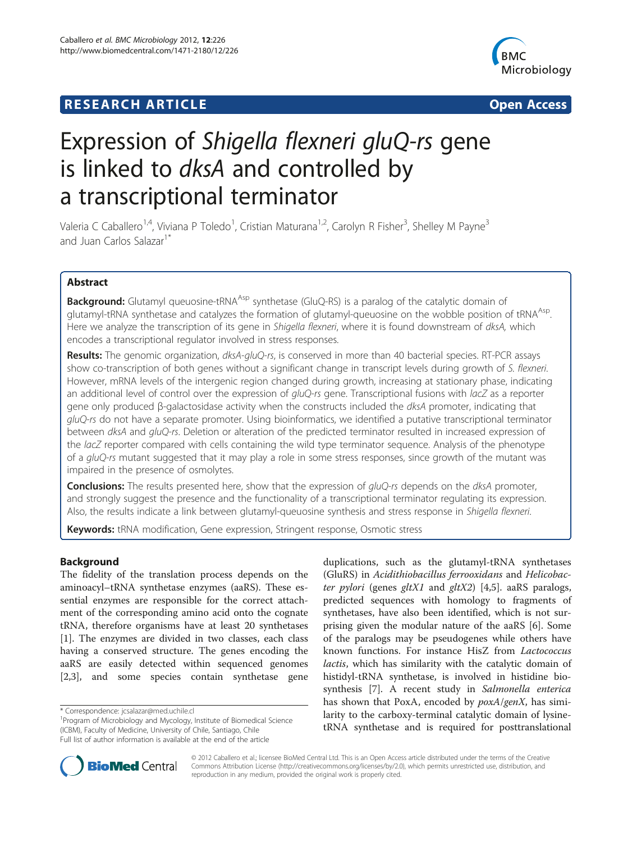## **RESEARCH ARTICLE Example 2014 CONSIDERING A RESEARCH ARTICLE**



# Expression of Shigella flexneri gluQ-rs gene is linked to dksA and controlled by a transcriptional terminator

Valeria C Caballero<sup>1,4</sup>, Viviana P Toledo<sup>1</sup>, Cristian Maturana<sup>1,2</sup>, Carolyn R Fisher<sup>3</sup>, Shelley M Payne<sup>3</sup> and Juan Carlos Salazar<sup>1\*</sup>

### Abstract

**Background:** Glutamyl queuosine-tRNA<sup>Asp</sup> synthetase (GluQ-RS) is a paralog of the catalytic domain of glutamyl-tRNA synthetase and catalyzes the formation of glutamyl-queuosine on the wobble position of tRNA<sup>Asp</sup>. Here we analyze the transcription of its gene in Shigella flexneri, where it is found downstream of dksA, which encodes a transcriptional regulator involved in stress responses.

Results: The genomic organization, dksA-gluQ-rs, is conserved in more than 40 bacterial species. RT-PCR assays show co-transcription of both genes without a significant change in transcript levels during growth of S. flexneri. However, mRNA levels of the intergenic region changed during growth, increasing at stationary phase, indicating an additional level of control over the expression of gluQ-rs gene. Transcriptional fusions with lacZ as a reporter gene only produced β-galactosidase activity when the constructs included the dksA promoter, indicating that gluQ-rs do not have a separate promoter. Using bioinformatics, we identified a putative transcriptional terminator between dksA and gluQ-rs. Deletion or alteration of the predicted terminator resulted in increased expression of the lacZ reporter compared with cells containing the wild type terminator sequence. Analysis of the phenotype of a gluQ-rs mutant suggested that it may play a role in some stress responses, since growth of the mutant was impaired in the presence of osmolytes.

**Conclusions:** The results presented here, show that the expression of  $gluQ-rs$  depends on the dksA promoter, and strongly suggest the presence and the functionality of a transcriptional terminator regulating its expression. Also, the results indicate a link between glutamyl-queuosine synthesis and stress response in Shigella flexneri.

Keywords: tRNA modification, Gene expression, Stringent response, Osmotic stress

### Background

The fidelity of the translation process depends on the aminoacyl–tRNA synthetase enzymes (aaRS). These essential enzymes are responsible for the correct attachment of the corresponding amino acid onto the cognate tRNA, therefore organisms have at least 20 synthetases [[1\]](#page-11-0). The enzymes are divided in two classes, each class having a conserved structure. The genes encoding the aaRS are easily detected within sequenced genomes [[2,3\]](#page-11-0), and some species contain synthetase gene

duplications, such as the glutamyl-tRNA synthetases (GluRS) in Acidithiobacillus ferrooxidans and Helicobac-ter pylori (genes gltX1 and gltX2) [\[4,5](#page-11-0)]. aaRS paralogs, predicted sequences with homology to fragments of synthetases, have also been identified, which is not surprising given the modular nature of the aaRS [[6\]](#page-11-0). Some of the paralogs may be pseudogenes while others have known functions. For instance HisZ from Lactococcus lactis, which has similarity with the catalytic domain of histidyl-tRNA synthetase, is involved in histidine bio-synthesis [[7\]](#page-11-0). A recent study in Salmonella enterica has shown that PoxA, encoded by *poxA*/genX, has similarity to the carboxy-terminal catalytic domain of lysinetRNA synthetase and is required for posttranslational



© 2012 Caballero et al.; licensee BioMed Central Ltd. This is an Open Access article distributed under the terms of the Creative Commons Attribution License [\(http://creativecommons.org/licenses/by/2.0\)](http://creativecommons.org/licenses/by/2.0), which permits unrestricted use, distribution, and reproduction in any medium, provided the original work is properly cited.

<sup>\*</sup> Correspondence: [jcsalazar@med.uchile.cl](mailto:jcsalazar@med.uchile.cl) <sup>1</sup>

<sup>&</sup>lt;sup>1</sup> Program of Microbiology and Mycology, Institute of Biomedical Science (ICBM), Faculty of Medicine, University of Chile, Santiago, Chile Full list of author information is available at the end of the article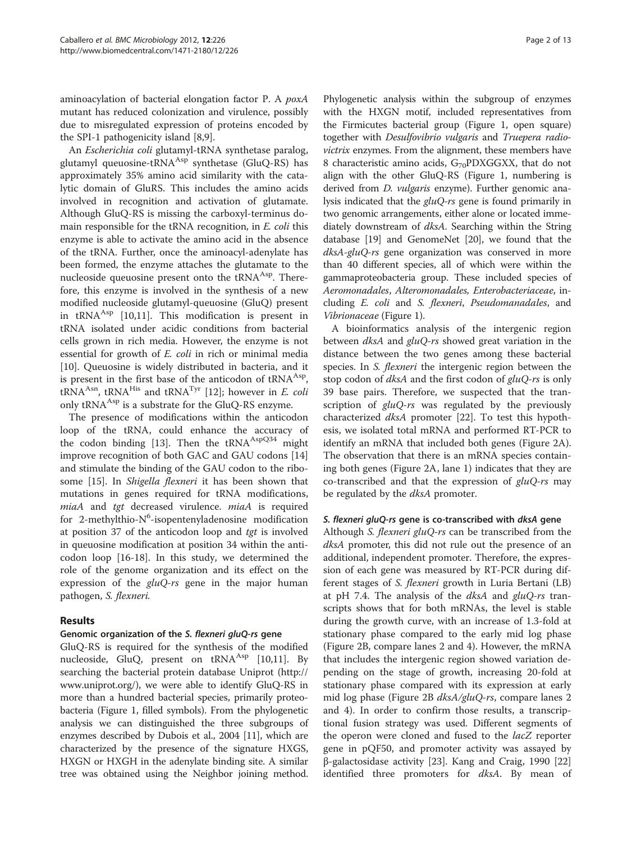aminoacylation of bacterial elongation factor P. A poxA mutant has reduced colonization and virulence, possibly due to misregulated expression of proteins encoded by the SPI-1 pathogenicity island [[8](#page-11-0),[9\]](#page-11-0).

An Escherichia coli glutamyl-tRNA synthetase paralog, glutamyl queuosine-tRNA<sup>Asp</sup> synthetase (GluQ-RS) has approximately 35% amino acid similarity with the catalytic domain of GluRS. This includes the amino acids involved in recognition and activation of glutamate. Although GluQ-RS is missing the carboxyl-terminus domain responsible for the tRNA recognition, in E. coli this enzyme is able to activate the amino acid in the absence of the tRNA. Further, once the aminoacyl-adenylate has been formed, the enzyme attaches the glutamate to the nucleoside queuosine present onto the  $tRNA<sup>Asp</sup>$ . Therefore, this enzyme is involved in the synthesis of a new modified nucleoside glutamyl-queuosine (GluQ) present in  $tRNA<sup>Asp</sup>$  [[10](#page-11-0),[11](#page-11-0)]. This modification is present in tRNA isolated under acidic conditions from bacterial cells grown in rich media. However, the enzyme is not essential for growth of E. coli in rich or minimal media [[10\]](#page-11-0). Queuosine is widely distributed in bacteria, and it is present in the first base of the anticodon of  $tRNA<sup>Asp</sup>$ , tRNA<sup>Asn</sup>, tRNA<sup>His</sup> and tRNA<sup>Tyr</sup> [\[12](#page-11-0)]; however in *E. coli* only tRNA $^{Asp}$  is a substrate for the GluQ-RS enzyme.

The presence of modifications within the anticodon loop of the tRNA, could enhance the accuracy of the codon binding [[13\]](#page-11-0). Then the  $tRNA<sup>AspQ34</sup>$  might improve recognition of both GAC and GAU codons [[14](#page-11-0)] and stimulate the binding of the GAU codon to the ribosome [\[15\]](#page-11-0). In Shigella flexneri it has been shown that mutations in genes required for tRNA modifications, miaA and tgt decreased virulence. miaA is required for 2-methylthio-N<sup>6</sup>-isopentenyladenosine modification at position 37 of the anticodon loop and tgt is involved in queuosine modification at position 34 within the anticodon loop [\[16](#page-11-0)-[18](#page-11-0)]. In this study, we determined the role of the genome organization and its effect on the expression of the  $gluQ-rs$  gene in the major human pathogen, S. flexneri.

#### Results

#### Genomic organization of the S. flexneri gluQ-rs gene

GluQ-RS is required for the synthesis of the modified nucleoside, GluQ, present on tRNA<sup>Asp</sup> [\[10,11](#page-11-0)]. By searching the bacterial protein database Uniprot ([http://](http://www.uniprot.org/) [www.uniprot.org/\)](http://www.uniprot.org/), we were able to identify GluQ-RS in more than a hundred bacterial species, primarily proteobacteria (Figure [1](#page-3-0), filled symbols). From the phylogenetic analysis we can distinguished the three subgroups of enzymes described by Dubois et al., 2004 [\[11\]](#page-11-0), which are characterized by the presence of the signature HXGS, HXGN or HXGH in the adenylate binding site. A similar tree was obtained using the Neighbor joining method.

Phylogenetic analysis within the subgroup of enzymes with the HXGN motif, included representatives from the Firmicutes bacterial group (Figure [1,](#page-3-0) open square) together with Desulfovibrio vulgaris and Truepera radiovictrix enzymes. From the alignment, these members have 8 characteristic amino acids,  $G_{70}$ PDXGGXX, that do not align with the other GluQ-RS (Figure [1](#page-3-0), numbering is derived from *D. vulgaris* enzyme). Further genomic analysis indicated that the gluQ-rs gene is found primarily in two genomic arrangements, either alone or located immediately downstream of dksA. Searching within the String database [\[19\]](#page-11-0) and GenomeNet [\[20\]](#page-11-0), we found that the dksA-gluQ-rs gene organization was conserved in more than 40 different species, all of which were within the gammaproteobacteria group. These included species of Aeromonadales, Alteromonadales, Enterobacteriaceae, including E. coli and S. flexneri, Pseudomanadales, and Vibrionaceae (Figure [1](#page-3-0)).

A bioinformatics analysis of the intergenic region between dksA and gluQ-rs showed great variation in the distance between the two genes among these bacterial species. In *S. flexneri* the intergenic region between the stop codon of  $dksA$  and the first codon of  $gluQ-rs$  is only 39 base pairs. Therefore, we suspected that the transcription of  $gluQ-rs$  was regulated by the previously characterized dksA promoter [\[22](#page-11-0)]. To test this hypothesis, we isolated total mRNA and performed RT-PCR to identify an mRNA that included both genes (Figure [2A](#page-4-0)). The observation that there is an mRNA species containing both genes (Figure [2A,](#page-4-0) lane 1) indicates that they are co-transcribed and that the expression of  $gluQ-rs$  may be regulated by the *dksA* promoter.

#### S. flexneri gluQ-rs gene is co-transcribed with dksA gene

Although S. *flexneri gluQ-rs* can be transcribed from the dksA promoter, this did not rule out the presence of an additional, independent promoter. Therefore, the expression of each gene was measured by RT-PCR during different stages of S. flexneri growth in Luria Bertani (LB) at pH 7.4. The analysis of the  $dksA$  and  $gluQ-rs$  transcripts shows that for both mRNAs, the level is stable during the growth curve, with an increase of 1.3-fold at stationary phase compared to the early mid log phase (Figure [2B](#page-4-0), compare lanes 2 and 4). However, the mRNA that includes the intergenic region showed variation depending on the stage of growth, increasing 20-fold at stationary phase compared with its expression at early mid log phase (Figure [2B](#page-4-0) dksA/gluQ-rs, compare lanes 2 and 4). In order to confirm those results, a transcriptional fusion strategy was used. Different segments of the operon were cloned and fused to the *lacZ* reporter gene in pQF50, and promoter activity was assayed by β-galactosidase activity [[23\]](#page-11-0). Kang and Craig, 1990 [[22](#page-11-0)] identified three promoters for *dksA*. By mean of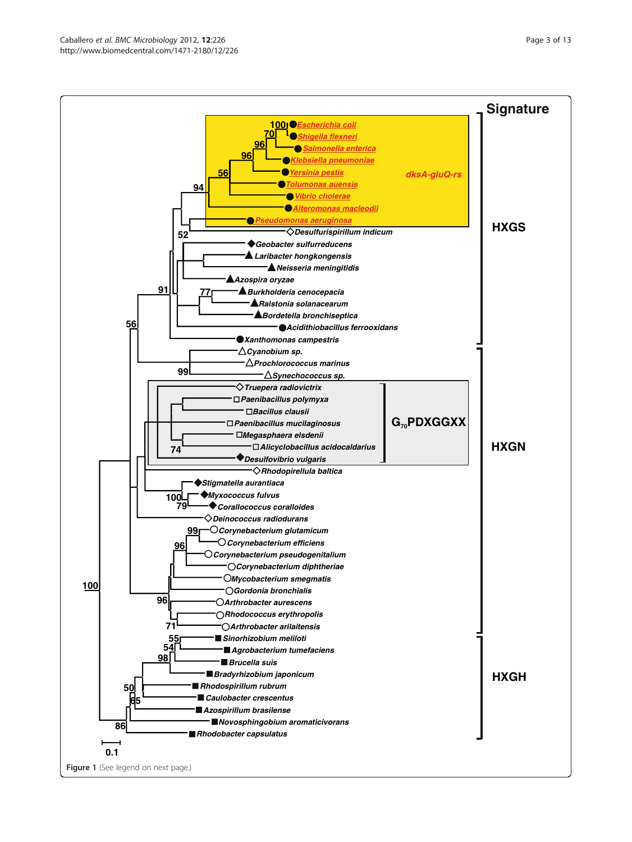Caballero et al. BMC Microbiology 2012, 12:226 Page 3 of 13 http://www.biomedcentral.com/1471-2180/12/226

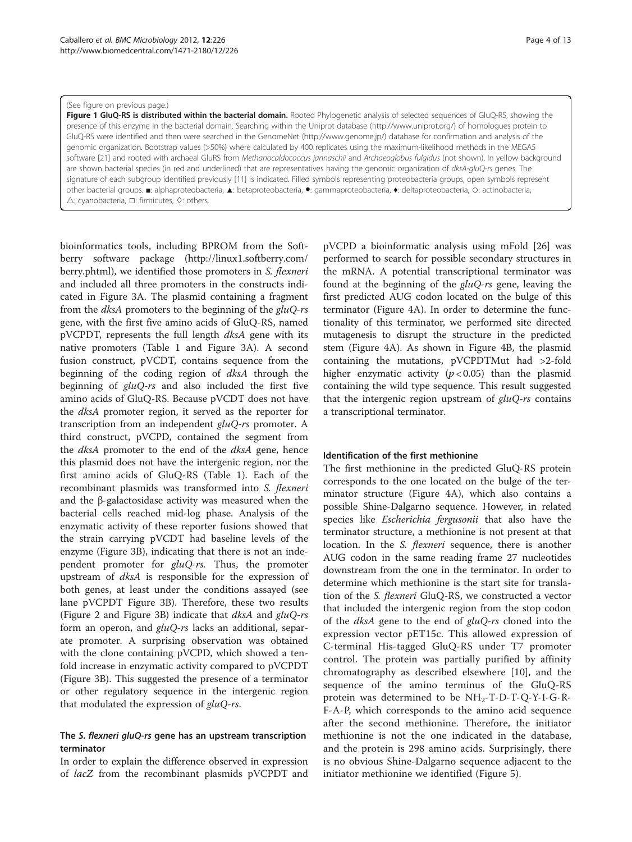#### <span id="page-3-0"></span>(See figure on previous page.)

Figure 1 GluQ-RS is distributed within the bacterial domain. Rooted Phylogenetic analysis of selected sequences of GluQ-RS, showing the presence of this enzyme in the bacterial domain. Searching within the Uniprot database ([http://www.uniprot.org/\)](http://www.uniprot.org/) of homologues protein to GluQ-RS were identified and then were searched in the GenomeNet (<http://www.genome.jp/>) database for confirmation and analysis of the genomic organization. Bootstrap values (>50%) where calculated by 400 replicates using the maximum-likelihood methods in the MEGA5 software [\[21\]](#page-11-0) and rooted with archaeal GluRS from Methanocaldococcus jannaschii and Archaeoglobus fulgidus (not shown). In yellow background are shown bacterial species (in red and underlined) that are representatives having the genomic organization of dksA-gluQ-rs genes. The signature of each subgroup identified previously [[11\]](#page-11-0) is indicated. Filled symbols representing proteobacteria groups, open symbols represent other bacterial groups. ■: alphaproteobacteria, ▲: betaproteobacteria,•: gammaproteobacteria, ♦: deltaproteobacteria, ○: actinobacteria, △: cyanobacteria, □: firmicutes, ◇: others.

bioinformatics tools, including BPROM from the Softberry software package [\(http://linux1.softberry.com/](http://linux1.softberry.com/berry.phtml) [berry.phtml\)](http://linux1.softberry.com/berry.phtml), we identified those promoters in *S. flexneri* and included all three promoters in the constructs indicated in Figure [3A.](#page-5-0) The plasmid containing a fragment from the *dksA* promoters to the beginning of the  $gluQ-rs$ gene, with the first five amino acids of GluQ-RS, named pVCPDT, represents the full length dksA gene with its native promoters (Table [1](#page-6-0) and Figure [3A\)](#page-5-0). A second fusion construct, pVCDT, contains sequence from the beginning of the coding region of dksA through the beginning of  $gluQ-rs$  and also included the first five amino acids of GluQ-RS. Because pVCDT does not have the dksA promoter region, it served as the reporter for transcription from an independent gluQ-rs promoter. A third construct, pVCPD, contained the segment from the *dksA* promoter to the end of the *dksA* gene, hence this plasmid does not have the intergenic region, nor the first amino acids of GluQ-RS (Table [1\)](#page-6-0). Each of the recombinant plasmids was transformed into S. flexneri and the β-galactosidase activity was measured when the bacterial cells reached mid-log phase. Analysis of the enzymatic activity of these reporter fusions showed that the strain carrying pVCDT had baseline levels of the enzyme (Figure [3B\)](#page-5-0), indicating that there is not an independent promoter for gluQ-rs. Thus, the promoter upstream of dksA is responsible for the expression of both genes, at least under the conditions assayed (see lane pVCPDT Figure [3B\)](#page-5-0). Therefore, these two results (Figure [2](#page-4-0) and Figure [3B](#page-5-0)) indicate that  $dksA$  and  $gluQ-rs$ form an operon, and  $gluQ-rs$  lacks an additional, separate promoter. A surprising observation was obtained with the clone containing pVCPD, which showed a tenfold increase in enzymatic activity compared to pVCPDT (Figure [3B\)](#page-5-0). This suggested the presence of a terminator or other regulatory sequence in the intergenic region that modulated the expression of  $gluQ-rs$ .

#### The S. flexneri gluQ-rs gene has an upstream transcription terminator

In order to explain the difference observed in expression of lacZ from the recombinant plasmids pVCPDT and pVCPD a bioinformatic analysis using mFold [[26\]](#page-11-0) was performed to search for possible secondary structures in the mRNA. A potential transcriptional terminator was found at the beginning of the  $gluQ-rs$  gene, leaving the first predicted AUG codon located on the bulge of this terminator (Figure [4A\)](#page-7-0). In order to determine the functionality of this terminator, we performed site directed mutagenesis to disrupt the structure in the predicted stem (Figure [4A\)](#page-7-0). As shown in Figure [4B,](#page-7-0) the plasmid containing the mutations, pVCPDTMut had >2-fold higher enzymatic activity  $(p < 0.05)$  than the plasmid containing the wild type sequence. This result suggested that the intergenic region upstream of  $gluQ-rs$  contains a transcriptional terminator.

#### Identification of the first methionine

The first methionine in the predicted GluQ-RS protein corresponds to the one located on the bulge of the terminator structure (Figure [4A\)](#page-7-0), which also contains a possible Shine-Dalgarno sequence. However, in related species like Escherichia fergusonii that also have the terminator structure, a methionine is not present at that location. In the *S. flexneri* sequence, there is another AUG codon in the same reading frame 27 nucleotides downstream from the one in the terminator. In order to determine which methionine is the start site for translation of the S. flexneri GluQ-RS, we constructed a vector that included the intergenic region from the stop codon of the *dksA* gene to the end of  $gluQ-rs$  cloned into the expression vector pET15c. This allowed expression of C-terminal His-tagged GluQ-RS under T7 promoter control. The protein was partially purified by affinity chromatography as described elsewhere [[10\]](#page-11-0), and the sequence of the amino terminus of the GluQ-RS protein was determined to be  $NH_2$ -T-D-T-Q-Y-I-G-R-F-A-P, which corresponds to the amino acid sequence after the second methionine. Therefore, the initiator methionine is not the one indicated in the database, and the protein is 298 amino acids. Surprisingly, there is no obvious Shine-Dalgarno sequence adjacent to the initiator methionine we identified (Figure [5\)](#page-8-0).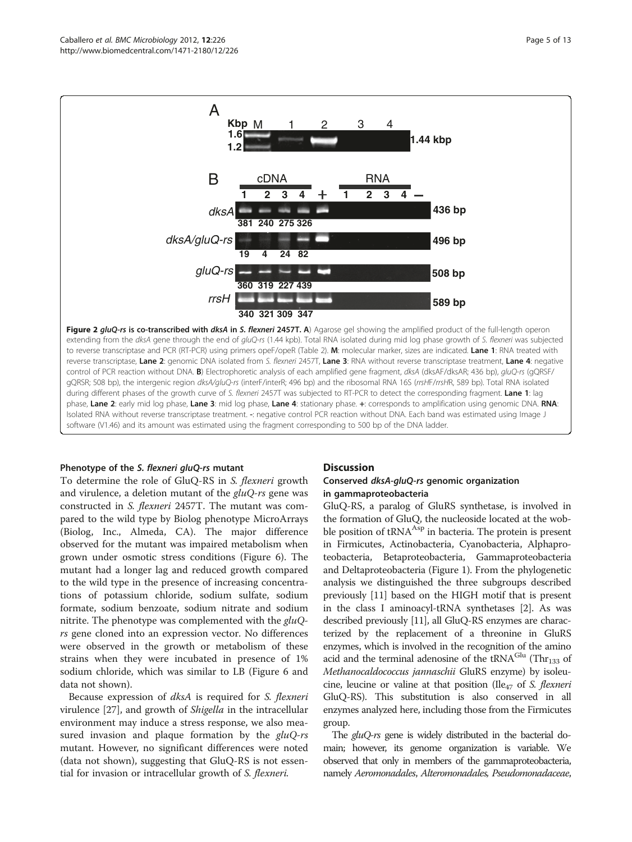<span id="page-4-0"></span>

extending from the dksA gene through the end of gluQ-rs (1.44 kpb). Total RNA isolated during mid log phase growth of S. flexneri was subjected to reverse transcriptase and PCR (RT-PCR) using primers opeF/opeR (Table [2](#page-9-0)). M: molecular marker, sizes are indicated. Lane 1: RNA treated with reverse transcriptase, Lane 2: genomic DNA isolated from S. flexneri 2457T, Lane 3: RNA without reverse transcriptase treatment, Lane 4: negative control of PCR reaction without DNA. B) Electrophoretic analysis of each amplified gene fragment, dksA (dksAF/dksAR; 436 bp), qluQ-rs (qQRSF/ gQRSR; 508 bp), the intergenic region dksA/gluQ-rs (interF/interR; 496 bp) and the ribosomal RNA 16S (rrsHF/rrsHR, 589 bp). Total RNA isolated during different phases of the growth curve of S. flexneri 2457T was subjected to RT-PCR to detect the corresponding fragment. Lane 1: lag phase, Lane 2: early mid log phase, Lane 3: mid log phase, Lane 4: stationary phase. +: corresponds to amplification using genomic DNA. RNA: Isolated RNA without reverse transcriptase treatment. -: negative control PCR reaction without DNA. Each band was estimated using Image J software (V1.46) and its amount was estimated using the fragment corresponding to 500 bp of the DNA ladder.

#### Phenotype of the S. flexneri gluQ-rs mutant

To determine the role of GluQ-RS in S. flexneri growth and virulence, a deletion mutant of the  $gluQ-rs$  gene was constructed in S. flexneri 2457T. The mutant was compared to the wild type by Biolog phenotype MicroArrays (Biolog, Inc., Almeda, CA). The major difference observed for the mutant was impaired metabolism when grown under osmotic stress conditions (Figure [6\)](#page-8-0). The mutant had a longer lag and reduced growth compared to the wild type in the presence of increasing concentrations of potassium chloride, sodium sulfate, sodium formate, sodium benzoate, sodium nitrate and sodium nitrite. The phenotype was complemented with the  $gluQ$ rs gene cloned into an expression vector. No differences were observed in the growth or metabolism of these strains when they were incubated in presence of 1% sodium chloride, which was similar to LB (Figure [6](#page-8-0) and data not shown).

Because expression of dksA is required for S. flexneri virulence [\[27\]](#page-11-0), and growth of Shigella in the intracellular environment may induce a stress response, we also measured invasion and plaque formation by the  $gluQ-rs$ mutant. However, no significant differences were noted (data not shown), suggesting that GluQ-RS is not essential for invasion or intracellular growth of S. flexneri.

#### **Discussion**

#### Conserved dksA-gluQ-rs genomic organization in gammaproteobacteria

GluQ-RS, a paralog of GluRS synthetase, is involved in the formation of GluQ, the nucleoside located at the wobble position of tRNA<sup>Asp</sup> in bacteria. The protein is present in Firmicutes, Actinobacteria, Cyanobacteria, Alphaproteobacteria, Betaproteobacteria, Gammaproteobacteria and Deltaproteobacteria (Figure [1](#page-3-0)). From the phylogenetic analysis we distinguished the three subgroups described previously [\[11\]](#page-11-0) based on the HIGH motif that is present in the class I aminoacyl-tRNA synthetases [\[2](#page-11-0)]. As was described previously [\[11\]](#page-11-0), all GluQ-RS enzymes are characterized by the replacement of a threonine in GluRS enzymes, which is involved in the recognition of the amino acid and the terminal adenosine of the tRNA<sup>Glu</sup> (Thr<sub>133</sub> of Methanocaldococcus jannaschii GluRS enzyme) by isoleucine, leucine or valine at that position (Ile<sub>47</sub> of S. *flexneri* GluQ-RS). This substitution is also conserved in all enzymes analyzed here, including those from the Firmicutes group.

The *gluQ-rs* gene is widely distributed in the bacterial domain; however, its genome organization is variable. We observed that only in members of the gammaproteobacteria, namely Aeromonadales, Alteromonadales, Pseudomonadaceae,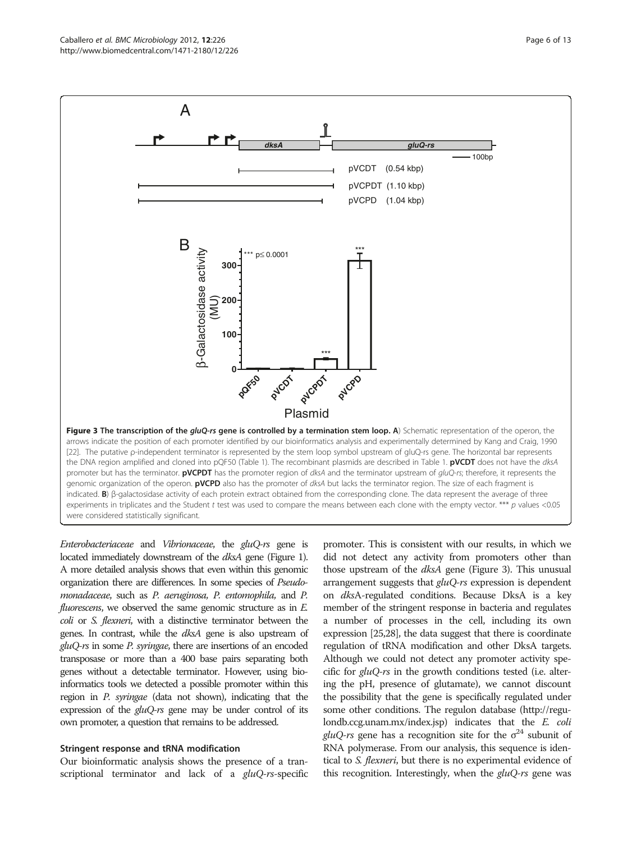<span id="page-5-0"></span>

were considered statistically significant.

Enterobacteriaceae and Vibrionaceae, the gluQ-rs gene is located immediately downstream of the dksA gene (Figure [1\)](#page-3-0). A more detailed analysis shows that even within this genomic organization there are differences. In some species of Pseudomonadaceae, such as P. aeruginosa, P. entomophila, and P. *fluorescens*, we observed the same genomic structure as in  $E$ . coli or S. flexneri, with a distinctive terminator between the genes. In contrast, while the dksA gene is also upstream of gluQ-rs in some P. syringae, there are insertions of an encoded transposase or more than a 400 base pairs separating both genes without a detectable terminator. However, using bioinformatics tools we detected a possible promoter within this region in P. syringae (data not shown), indicating that the expression of the  $gluQ-rs$  gene may be under control of its own promoter, a question that remains to be addressed.

#### Stringent response and tRNA modification

Our bioinformatic analysis shows the presence of a transcriptional terminator and lack of a  $gluQ-rs$ -specific

promoter. This is consistent with our results, in which we did not detect any activity from promoters other than those upstream of the dksA gene (Figure 3). This unusual arrangement suggests that  $gluQ-rs$  expression is dependent on dksA-regulated conditions. Because DksA is a key member of the stringent response in bacteria and regulates a number of processes in the cell, including its own expression [\[25,28\]](#page-11-0), the data suggest that there is coordinate regulation of tRNA modification and other DksA targets. Although we could not detect any promoter activity specific for  $gluQ-rs$  in the growth conditions tested (i.e. altering the pH, presence of glutamate), we cannot discount the possibility that the gene is specifically regulated under some other conditions. The regulon database [\(http://regu](http://regulondb.ccg.unam.mx/index.jsp)[londb.ccg.unam.mx/index.jsp\)](http://regulondb.ccg.unam.mx/index.jsp) indicates that the E. coli gluQ-rs gene has a recognition site for the  $\sigma^{24}$  subunit of RNA polymerase. From our analysis, this sequence is identical to S. flexneri, but there is no experimental evidence of this recognition. Interestingly, when the  $gluQ-rs$  gene was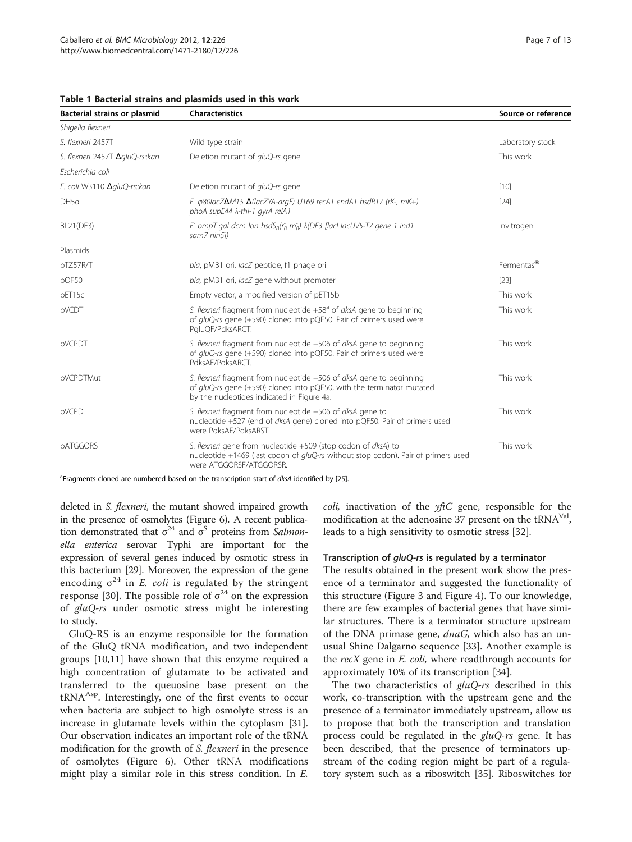| Bacterial strains or plasmid         | <b>Characteristics</b>                                                                                                                                                                                  | Source or reference    |
|--------------------------------------|---------------------------------------------------------------------------------------------------------------------------------------------------------------------------------------------------------|------------------------|
| Shigella flexneri                    |                                                                                                                                                                                                         |                        |
| S. flexneri 2457T                    | Wild type strain                                                                                                                                                                                        | Laboratory stock       |
| S. flexneri 2457T △gluQ-rs::kan      | Deletion mutant of gluQ-rs gene                                                                                                                                                                         | This work              |
| Escherichia coli                     |                                                                                                                                                                                                         |                        |
| E. coli W3110 $\Delta$ gluQ-rs:: kan | Deletion mutant of gluQ-rs gene                                                                                                                                                                         | $[10]$                 |
| DH <sub>5a</sub>                     | $F$ $\varphi$ 80lacZ $\Delta$ M15 $\Delta$ (lacZYA-argF) U169 recA1 endA1 hsdR17 (rK-, mK+)<br>phoA supE44 λ-thi-1 gyrA relA1                                                                           | $[24]$                 |
| <b>BL21(DE3)</b>                     | F ompT gal dcm lon hsd $S_B(r_B m_B)$ $\lambda$ (DE3 [lacl lacUV5-T7 gene 1 ind1<br>sam7 nin5])                                                                                                         | Invitrogen             |
| Plasmids                             |                                                                                                                                                                                                         |                        |
| pTZ57R/T                             | bla, pMB1 ori, lacZ peptide, f1 phage ori                                                                                                                                                               | Fermentas <sup>®</sup> |
| pQF50                                | bla, pMB1 ori, lacZ gene without promoter                                                                                                                                                               | $[23]$                 |
| pET15c                               | Empty vector, a modified version of pET15b                                                                                                                                                              | This work              |
| pVCDT                                | S. flexneri fragment from nucleotide $+58a$ of dksA gene to beginning<br>This work<br>of gluQ-rs gene (+590) cloned into pQF50. Pair of primers used were<br>PaluQF/PdksARCT.                           |                        |
| pVCPDT                               | This work<br>S. flexneri fragment from nucleotide -506 of dksA gene to beginning<br>of gluQ-rs gene (+590) cloned into pQF50. Pair of primers used were<br>PdksAF/PdksARCT.                             |                        |
| pVCPDTMut                            | S. flexneri fragment from nucleotide -506 of dksA gene to beginning<br>This work<br>of gluQ-rs gene (+590) cloned into pQF50, with the terminator mutated<br>by the nucleotides indicated in Figure 4a. |                        |
| pVCPD                                | S. flexneri fragment from nucleotide -506 of dksA gene to<br>nucleotide +527 (end of dksA gene) cloned into pQF50. Pair of primers used<br>were PdksAF/PdksARST.                                        | This work              |
| pATGGQRS                             | S. flexneri gene from nucleotide +509 (stop codon of dksA) to<br>nucleotide +1469 (last codon of gluQ-rs without stop codon). Pair of primers used<br>were ATGGQRSF/ATGGQRSR.                           | This work              |

<span id="page-6-0"></span>Table 1 Bacterial strains and plasmids used in this work

<sup>a</sup>Fragments cloned are numbered based on the transcription start of dksA identified by [\[25](#page-11-0)].

deleted in S. flexneri, the mutant showed impaired growth in the presence of osmolytes (Figure [6\)](#page-8-0). A recent publication demonstrated that  $\sigma^{24}$  and  $\sigma^{S}$  proteins from Salmonella enterica serovar Typhi are important for the expression of several genes induced by osmotic stress in this bacterium [\[29\]](#page-11-0). Moreover, the expression of the gene encoding  $\sigma^{24}$  in *E. coli* is regulated by the stringent response [\[30](#page-11-0)]. The possible role of  $\sigma^{24}$  on the expression of gluQ-rs under osmotic stress might be interesting to study.

GluQ-RS is an enzyme responsible for the formation of the GluQ tRNA modification, and two independent groups [[10](#page-11-0),[11](#page-11-0)] have shown that this enzyme required a high concentration of glutamate to be activated and transferred to the queuosine base present on the tRNA<sup>Asp</sup>. Interestingly, one of the first events to occur when bacteria are subject to high osmolyte stress is an increase in glutamate levels within the cytoplasm [\[31](#page-11-0)]. Our observation indicates an important role of the tRNA modification for the growth of *S. flexneri* in the presence of osmolytes (Figure [6\)](#page-8-0). Other tRNA modifications might play a similar role in this stress condition. In E.

 $\text{coli}_r$ , inactivation of the  $\text{yfi}C$  gene, responsible for the modification at the adenosine 37 present on the tRNA $\text{val}$ , leads to a high sensitivity to osmotic stress [[32\]](#page-11-0).

#### Transcription of gluQ-rs is regulated by a terminator

The results obtained in the present work show the presence of a terminator and suggested the functionality of this structure (Figure [3](#page-5-0) and Figure [4](#page-7-0)). To our knowledge, there are few examples of bacterial genes that have similar structures. There is a terminator structure upstream of the DNA primase gene, *dnaG*, which also has an unusual Shine Dalgarno sequence [\[33](#page-11-0)]. Another example is the recX gene in E. coli, where readthrough accounts for approximately 10% of its transcription [\[34](#page-11-0)].

The two characteristics of  $gluQ-rs$  described in this work, co-transcription with the upstream gene and the presence of a terminator immediately upstream, allow us to propose that both the transcription and translation process could be regulated in the  $gluQ-rs$  gene. It has been described, that the presence of terminators upstream of the coding region might be part of a regulatory system such as a riboswitch [[35](#page-11-0)]. Riboswitches for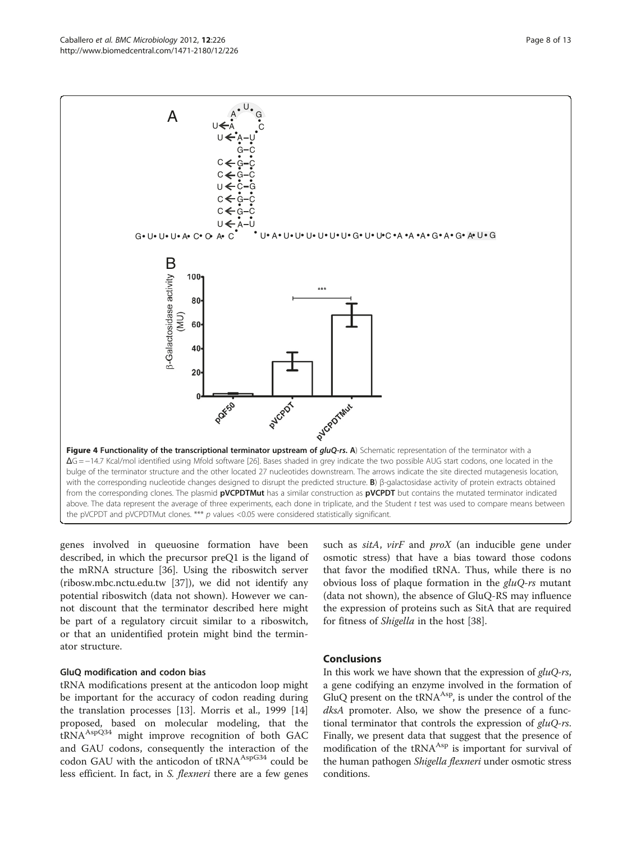<span id="page-7-0"></span>

genes involved in queuosine formation have been described, in which the precursor preQ1 is the ligand of the mRNA structure [[36](#page-11-0)]. Using the riboswitch server (ribosw.mbc.nctu.edu.tw [[37\]](#page-11-0)), we did not identify any potential riboswitch (data not shown). However we cannot discount that the terminator described here might be part of a regulatory circuit similar to a riboswitch, or that an unidentified protein might bind the terminator structure.

#### GluQ modification and codon bias

tRNA modifications present at the anticodon loop might be important for the accuracy of codon reading during the translation processes [\[13\]](#page-11-0). Morris et al., 1999 [[14](#page-11-0)] proposed, based on molecular modeling, that the tRNA<sup>AspQ34</sup> might improve recognition of both GAC and GAU codons, consequently the interaction of the codon GAU with the anticodon of  $tRNA<sup>AspG34</sup>$  could be less efficient. In fact, in S. flexneri there are a few genes such as  $sitA$ ,  $virF$  and  $prox$  (an inducible gene under osmotic stress) that have a bias toward those codons that favor the modified tRNA. Thus, while there is no obvious loss of plaque formation in the  $gluQ-rs$  mutant (data not shown), the absence of GluQ-RS may influence the expression of proteins such as SitA that are required for fitness of Shigella in the host [\[38\]](#page-12-0).

#### Conclusions

In this work we have shown that the expression of  $gluQ-rs$ , a gene codifying an enzyme involved in the formation of GluQ present on the  $tRNA<sup>Asp</sup>$ , is under the control of the dksA promoter. Also, we show the presence of a functional terminator that controls the expression of  $gluQ-rs$ . Finally, we present data that suggest that the presence of modification of the tRNA<sup>Asp</sup> is important for survival of the human pathogen Shigella flexneri under osmotic stress conditions.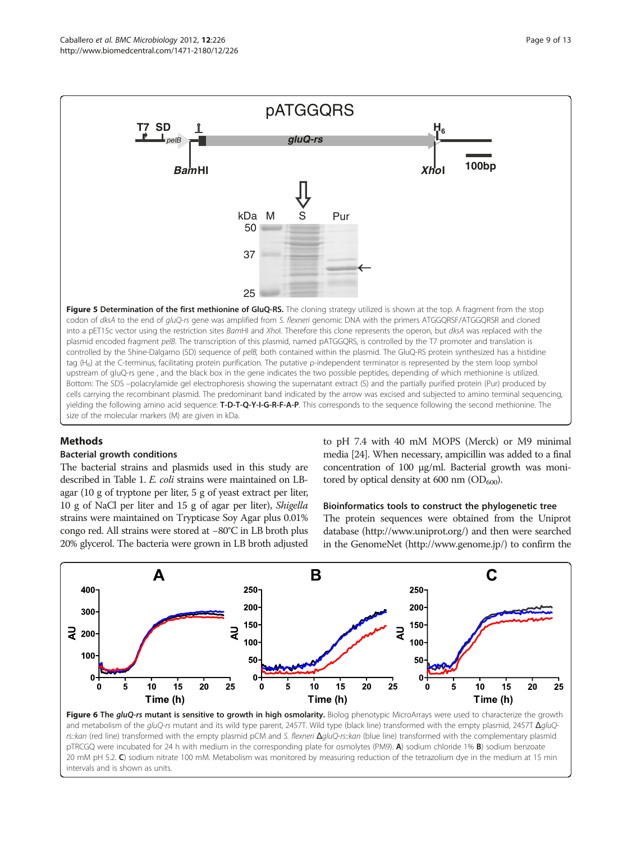<span id="page-8-0"></span>

#### Methods

#### Bacterial growth conditions

The bacterial strains and plasmids used in this study are described in Table [1.](#page-6-0) E. coli strains were maintained on LBagar (10 g of tryptone per liter, 5 g of yeast extract per liter, 10 g of NaCl per liter and 15 g of agar per liter), Shigella strains were maintained on Trypticase Soy Agar plus 0.01% congo red. All strains were stored at −80°C in LB broth plus 20% glycerol. The bacteria were grown in LB broth adjusted to pH 7.4 with 40 mM MOPS (Merck) or M9 minimal media [\[24\]](#page-11-0). When necessary, ampicillin was added to a final concentration of 100 μg/ml. Bacterial growth was monitored by optical density at 600 nm  $(OD_{600})$ .

#### Bioinformatics tools to construct the phylogenetic tree

The protein sequences were obtained from the Uniprot database [\(http://www.uniprot.org/](http://www.uniprot.org/)) and then were searched in the GenomeNet (<http://www.genome.jp/>) to confirm the



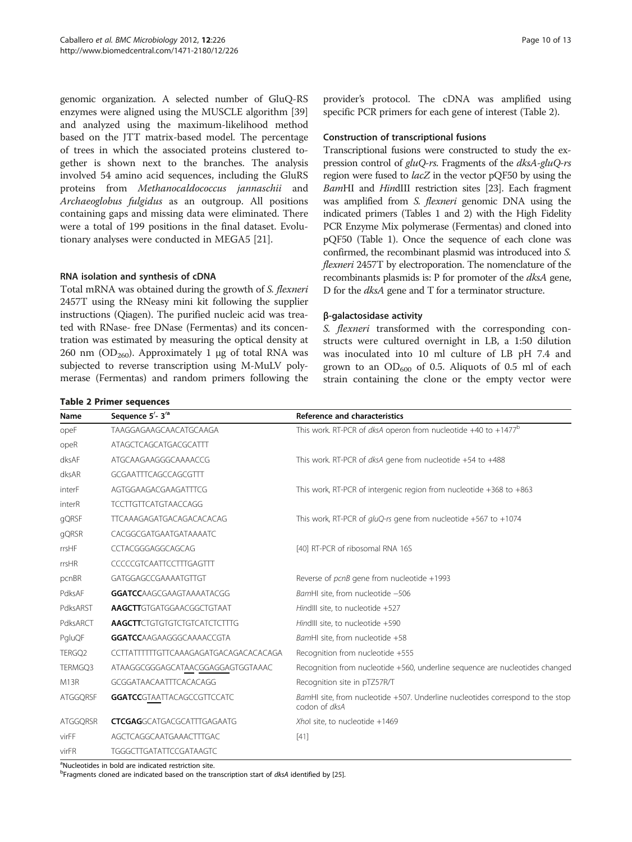<span id="page-9-0"></span>genomic organization. A selected number of GluQ-RS enzymes were aligned using the MUSCLE algorithm [[39](#page-12-0)] and analyzed using the maximum-likelihood method based on the JTT matrix-based model. The percentage of trees in which the associated proteins clustered together is shown next to the branches. The analysis involved 54 amino acid sequences, including the GluRS proteins from Methanocaldococcus jannaschii and Archaeoglobus fulgidus as an outgroup. All positions containing gaps and missing data were eliminated. There were a total of 199 positions in the final dataset. Evolutionary analyses were conducted in MEGA5 [\[21\]](#page-11-0).

#### RNA isolation and synthesis of cDNA

Table 2 Primer sequences

Total mRNA was obtained during the growth of S. flexneri 2457T using the RNeasy mini kit following the supplier instructions (Qiagen). The purified nucleic acid was treated with RNase- free DNase (Fermentas) and its concentration was estimated by measuring the optical density at 260 nm ( $OD<sub>260</sub>$ ). Approximately 1 μg of total RNA was subjected to reverse transcription using M-MuLV polymerase (Fermentas) and random primers following the

provider's protocol. The cDNA was amplified using specific PCR primers for each gene of interest (Table 2).

#### Construction of transcriptional fusions

Transcriptional fusions were constructed to study the expression control of gluQ-rs. Fragments of the dksA-gluQ-rs region were fused to *lacZ* in the vector pQF50 by using the BamHI and HindIII restriction sites [\[23\]](#page-11-0). Each fragment was amplified from S. flexneri genomic DNA using the indicated primers (Tables [1](#page-6-0) and 2) with the High Fidelity PCR Enzyme Mix polymerase (Fermentas) and cloned into pQF50 (Table [1](#page-6-0)). Once the sequence of each clone was confirmed, the recombinant plasmid was introduced into S. flexneri 2457T by electroporation. The nomenclature of the recombinants plasmids is: P for promoter of the dksA gene, D for the dksA gene and T for a terminator structure.

#### β-galactosidase activity

S. flexneri transformed with the corresponding constructs were cultured overnight in LB, a 1:50 dilution was inoculated into 10 ml culture of LB pH 7.4 and grown to an  $OD_{600}$  of 0.5. Aliquots of 0.5 ml of each strain containing the clone or the empty vector were

| Name         | Sequence 5'-3 <sup>'a</sup>          | Reference and characteristics                                                                   |
|--------------|--------------------------------------|-------------------------------------------------------------------------------------------------|
| opeF         | TAAGGAGAAGCAACATGCAAGA               | This work. RT-PCR of dksA operon from nucleotide +40 to +1477 $b$                               |
| opeR         | ATAGCTCAGCATGACGCATTT                |                                                                                                 |
| dksAF        | ATGCAAGAAGGGCAAAACCG                 | This work. RT-PCR of dksA gene from nucleotide +54 to +488                                      |
| dksAR        | GCGAATTTCAGCCAGCGTTT                 |                                                                                                 |
| interF       | AGTGGAAGACGAAGATTTCG                 | This work, RT-PCR of intergenic region from nucleotide $+368$ to $+863$                         |
| interR       | <b>TCCTTGTTCATGTAACCAGG</b>          |                                                                                                 |
| gQRSF        | TTCAAAGAGATGACAGACACACAG             | This work, RT-PCR of $gluQ-rs$ gene from nucleotide +567 to +1074                               |
| <b>qQRSR</b> | CACGGCGATGAATGATAAAATC               |                                                                                                 |
| rrsHF        | CCTACGGGAGGCAGCAG                    | [40] RT-PCR of ribosomal RNA 16S                                                                |
| rrsHR        | CCCCCGTCAATTCCTTTGAGTTT              |                                                                                                 |
| pcnBR        | GATGGAGCCGAAAATGTTGT                 | Reverse of pcnB gene from nucleotide +1993                                                      |
| PdksAF       | <b>GGATCC</b> AAGCGAAGTAAAATACGG     | BamHI site, from nucleotide -506                                                                |
| PdksARST     | AAGCTTGTGATGGAACGGCTGTAAT            | HindIII site, to nucleotide +527                                                                |
| PdksARCT     | <b>AAGCTT</b> CTGTGTGTCTGTCATCTCTTTG | Hindlll site, to nucleotide +590                                                                |
| PgluQF       | <b>GGATCC</b> AAGAAGGGCAAAACCGTA     | BamHI site, from nucleotide +58                                                                 |
| TERGQ2       | CCTTATTTTTGTTCAAAGAGATGACAGACACACAGA | Recognition from nucleotide +555                                                                |
| TERMGQ3      | ATAAGGCGGGAGCATAACGGAGGAGTGGTAAAC    | Recognition from nucleotide +560, underline sequence are nucleotides changed                    |
| M13R         | GCGGATAACAATTTCACACAGG               | Recognition site in pTZ57R/T                                                                    |
| ATGGQRSF     | <b>GGATCC</b> GTAATTACAGCCGTTCCATC   | BamHI site, from nucleotide +507. Underline nucleotides correspond to the stop<br>codon of dksA |
| ATGGQRSR     | <b>CTCGAG</b> GCATGACGCATTTGAGAATG   | Xhol site, to nucleotide +1469                                                                  |
| virFF        | AGCTCAGGCAATGAAACTTTGAC              | $[41]$                                                                                          |
| virFR        | <b>TGGGCTTGATATTCCGATAAGTC</b>       |                                                                                                 |

<sup>a</sup>Nucleotides in bold are indicated restriction site.

<sup>b</sup>Fragments cloned are indicated based on the transcription start of dksA identified by [\[25](#page-11-0)].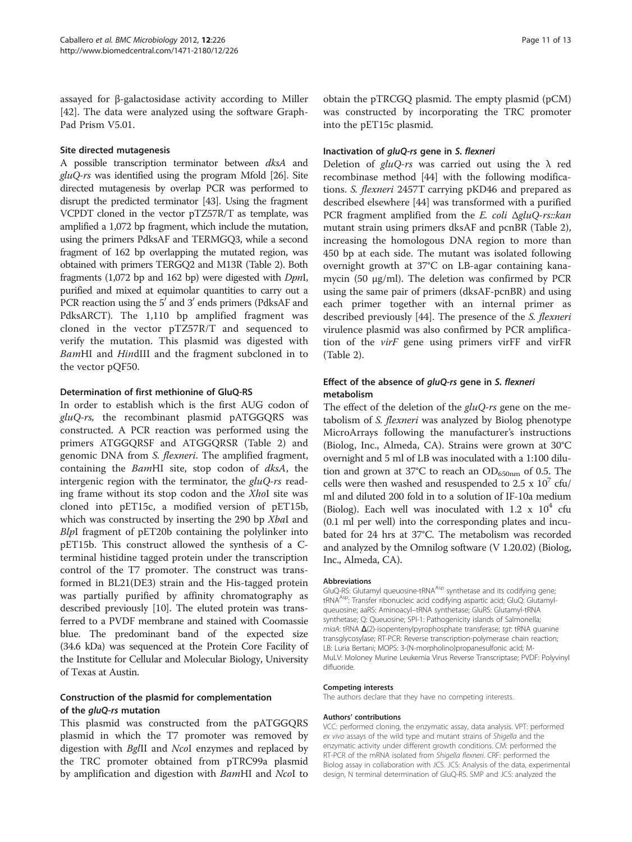assayed for β-galactosidase activity according to Miller [[42\]](#page-12-0). The data were analyzed using the software Graph-Pad Prism V5.01.

#### Site directed mutagenesis

A possible transcription terminator between dksA and  $gluQ-rs$  was identified using the program Mfold [[26](#page-11-0)]. Site directed mutagenesis by overlap PCR was performed to disrupt the predicted terminator [[43](#page-12-0)]. Using the fragment VCPDT cloned in the vector pTZ57R/T as template, was amplified a 1,072 bp fragment, which include the mutation, using the primers PdksAF and TERMGQ3, while a second fragment of 162 bp overlapping the mutated region, was obtained with primers TERGQ2 and M13R (Table [2\)](#page-9-0). Both fragments (1,072 bp and 162 bp) were digested with DpnI, purified and mixed at equimolar quantities to carry out a PCR reaction using the  $5'$  and  $3'$  ends primers (PdksAF and PdksARCT). The 1,110 bp amplified fragment was cloned in the vector pTZ57R/T and sequenced to verify the mutation. This plasmid was digested with BamHI and HindIII and the fragment subcloned in to the vector pQF50.

#### Determination of first methionine of GluQ-RS

In order to establish which is the first AUG codon of  $gluQ-rs$ , the recombinant plasmid pATGGQRS was constructed. A PCR reaction was performed using the primers ATGGQRSF and ATGGQRSR (Table [2](#page-9-0)) and genomic DNA from S. flexneri. The amplified fragment, containing the BamHI site, stop codon of dksA, the intergenic region with the terminator, the  $gluQ-rs$  reading frame without its stop codon and the XhoI site was cloned into pET15c, a modified version of pET15b, which was constructed by inserting the 290 bp XbaI and BlpI fragment of pET20b containing the polylinker into pET15b. This construct allowed the synthesis of a Cterminal histidine tagged protein under the transcription control of the T7 promoter. The construct was transformed in BL21(DE3) strain and the His-tagged protein was partially purified by affinity chromatography as described previously [[10](#page-11-0)]. The eluted protein was transferred to a PVDF membrane and stained with Coomassie blue. The predominant band of the expected size (34.6 kDa) was sequenced at the Protein Core Facility of the Institute for Cellular and Molecular Biology, University of Texas at Austin.

#### Construction of the plasmid for complementation of the gluQ-rs mutation

This plasmid was constructed from the pATGGQRS plasmid in which the T7 promoter was removed by digestion with BglII and NcoI enzymes and replaced by the TRC promoter obtained from pTRC99a plasmid by amplification and digestion with BamHI and NcoI to

obtain the pTRCGQ plasmid. The empty plasmid (pCM) was constructed by incorporating the TRC promoter into the pET15c plasmid.

#### Inactivation of gluQ-rs gene in S. flexneri

Deletion of gluQ-rs was carried out using the  $\lambda$  red recombinase method [\[44\]](#page-12-0) with the following modifications. S. flexneri 2457T carrying pKD46 and prepared as described elsewhere [\[44\]](#page-12-0) was transformed with a purified PCR fragment amplified from the E. coli  $\Delta gluQ$ -rs::kan mutant strain using primers dksAF and pcnBR (Table [2](#page-9-0)), increasing the homologous DNA region to more than 450 bp at each side. The mutant was isolated following overnight growth at 37°C on LB-agar containing kanamycin (50 μg/ml). The deletion was confirmed by PCR using the same pair of primers (dksAF-pcnBR) and using each primer together with an internal primer as described previously [[44](#page-12-0)]. The presence of the S. flexneri virulence plasmid was also confirmed by PCR amplification of the virF gene using primers virFF and virFR (Table [2\)](#page-9-0).

#### Effect of the absence of gluQ-rs gene in S. flexneri metabolism

The effect of the deletion of the  $gluQ-rs$  gene on the metabolism of S. flexneri was analyzed by Biolog phenotype MicroArrays following the manufacturer's instructions (Biolog, Inc., Almeda, CA). Strains were grown at 30°C overnight and 5 ml of LB was inoculated with a 1:100 dilution and grown at 37°C to reach an  $OD_{650nm}$  of 0.5. The cells were then washed and resuspended to 2.5 x  $10^{7}$  cfu/ ml and diluted 200 fold in to a solution of IF-10a medium (Biolog). Each well was inoculated with 1.2 x  $10^4$  cfu (0.1 ml per well) into the corresponding plates and incubated for 24 hrs at 37°C. The metabolism was recorded and analyzed by the Omnilog software (V 1.20.02) (Biolog, Inc., Almeda, CA).

#### Abbreviations

GluQ-RS: Glutamyl queuosine-tRNA<sup>Asp</sup> synthetase and its codifying gene; tRNA<sup>Asp</sup>: Transfer ribonucleic acid codifying aspartic acid; GluQ: Glutamylqueuosine; aaRS: Aminoacyl–tRNA synthetase; GluRS: Glutamyl-tRNA synthetase; Q: Queuosine; SPI-1: Pathogenicity islands of Salmonella; miaA: tRNA Δ(2)-isopentenylpyrophosphate transferase; tgt: tRNA guanine transglycosylase; RT-PCR: Reverse transcription-polymerase chain reaction; LB: Luria Bertani; MOPS: 3-(N-morpholino)propanesulfonic acid; M-MuLV: Moloney Murine Leukemia Virus Reverse Transcriptase; PVDF: Polyvinyl difluoride.

#### Competing interests

The authors declare that they have no competing interests.

#### Authors' contributions

VCC: performed cloning, the enzymatic assay, data analysis. VPT: performed ex vivo assays of the wild type and mutant strains of Shigella and the enzymatic activity under different growth conditions. CM: performed the RT-PCR of the mRNA isolated from Shigella flexneri. CRF: performed the Biolog assay in collaboration with JCS. JCS: Analysis of the data, experimental design, N terminal determination of GluQ-RS. SMP and JCS: analyzed the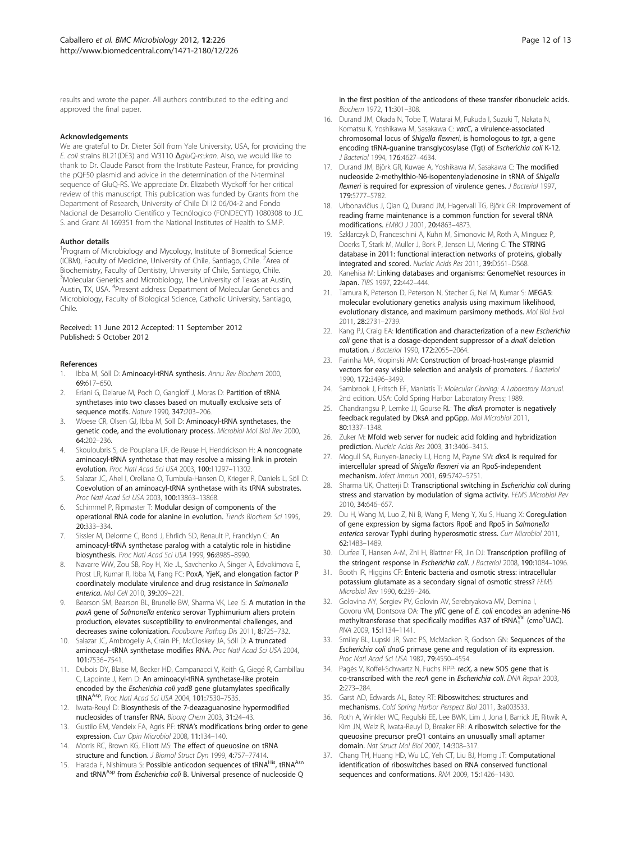<span id="page-11-0"></span>results and wrote the paper. All authors contributed to the editing and approved the final paper.

#### Acknowledgements

We are grateful to Dr. Dieter Söll from Yale University, USA, for providing the E. coli strains BL21(DE3) and W3110 ΔgluQ-rs::kan. Also, we would like to thank to Dr. Claude Parsot from the Institute Pasteur, France, for providing the pQF50 plasmid and advice in the determination of the N-terminal sequence of GluQ-RS. We appreciate Dr. Elizabeth Wyckoff for her critical review of this manuscript. This publication was funded by Grants from the Department of Research, University of Chile DI I2 06/04-2 and Fondo Nacional de Desarrollo Científico y Tecnólogico (FONDECYT) 1080308 to J.C. S. and Grant AI 169351 from the National Institutes of Health to S.M.P.

#### Author details

<sup>1</sup> Program of Microbiology and Mycology, Institute of Biomedical Science (ICBM), Faculty of Medicine, University of Chile, Santiago, Chile. <sup>2</sup>Area of Biochemistry, Faculty of Dentistry, University of Chile, Santiago, Chile. <sup>3</sup>Molecular Genetics and Microbiology, The University of Texas at Austin, Austin, TX, USA. <sup>4</sup>Present address: Department of Molecular Genetics and Microbiology, Faculty of Biological Science, Catholic University, Santiago, Chile.

#### Received: 11 June 2012 Accepted: 11 September 2012 Published: 5 October 2012

#### References

- 1. Ibba M, Söll D: Aminoacyl-tRNA synthesis. Annu Rev Biochem 2000, 69:617–650.
- Eriani G, Delarue M, Poch O, Gangloff J, Moras D: Partition of tRNA synthetases into two classes based on mutually exclusive sets of sequence motifs. Nature 1990, 347:203–206.
- Woese CR, Olsen GJ, Ibba M, Söll D: Aminoacyl-tRNA synthetases, the genetic code, and the evolutionary process. Microbiol Mol Biol Rev 2000, 64:202–236.
- 4. Skouloubris S, de Pouplana LR, de Reuse H, Hendrickson H: A noncognate aminoacyl-tRNA synthetase that may resolve a missing link in protein evolution. Proc Natl Acad Sci USA 2003, 100:11297–11302.
- 5. Salazar JC, Ahel I, Orellana O, Tumbula-Hansen D, Krieger R, Daniels L, Söll D: Coevolution of an aminoacyl-tRNA synthetase with its tRNA substrates. Proc Natl Acad Sci USA 2003, 100:13863–13868.
- 6. Schimmel P, Ripmaster T: Modular design of components of the operational RNA code for alanine in evolution. Trends Biochem Sci 1995, 20:333–334.
- Sissler M, Delorme C, Bond J, Ehrlich SD, Renault P, Francklyn C: An aminoacyl-tRNA synthetase paralog with a catalytic role in histidine biosynthesis. Proc Natl Acad Sci USA 1999, 96:8985–8990.
- 8. Navarre WW, Zou SB, Roy H, Xie JL, Savchenko A, Singer A, Edvokimova E, Prost LR, Kumar R, Ibba M, Fang FC: PoxA, YjeK, and elongation factor P coordinately modulate virulence and drug resistance in Salmonella enterica. Mol Cell 2010, 39:209–221.
- 9. Bearson SM, Bearson BL, Brunelle BW, Sharma VK, Lee IS: A mutation in the poxA gene of Salmonella enterica serovar Typhimurium alters protein production, elevates susceptibility to environmental challenges, and decreases swine colonization. Foodborne Pathog Dis 2011, 8:725–732.
- 10. Salazar JC, Ambrogelly A, Crain PF, McCloskey JA, Söll D: A truncated aminoacyl–tRNA synthetase modifies RNA. Proc Natl Acad Sci USA 2004, 101:7536–7541.
- 11. Dubois DY, Blaise M, Becker HD, Campanacci V, Keith G, Giegé R, Cambillau C, Lapointe J, Kern D: An aminoacyl-tRNA synthetase-like protein encoded by the Escherichia coli yadB gene glutamylates specifically tRNA<sup>Asp</sup>. Proc Natl Acad Sci USA 2004, 101:7530-7535.
- 12. Iwata-Reuyl D: Biosynthesis of the 7-deazaguanosine hypermodified nucleosides of transfer RNA. Bioorg Chem 2003, 31:24–43.
- 13. Gustilo EM, Vendeix FA, Agris PF: tRNA's modifications bring order to gene expression. Curr Opin Microbiol 2008, 11:134–140.
- 14. Morris RC, Brown KG, Elliott MS: The effect of queuosine on tRNA structure and function. J Biomol Struct Dyn 1999, 4:757-77414
- 15. Harada F, Nishimura S: Possible anticodon sequences of tRNA<sup>His</sup>, tRNA<sup>Asn</sup> and tRNA<sup>Asp</sup> from Escherichia coli B. Universal presence of nucleoside Q

in the first position of the anticodons of these transfer ribonucleic acids. Biochem 1972, 11:301–308.

- 16. Durand JM, Okada N, Tobe T, Watarai M, Fukuda I, Suzuki T, Nakata N, Komatsu K, Yoshikawa M, Sasakawa C: vacC, a virulence-associated chromosomal locus of Shigella flexneri, is homologous to tgt, a gene encoding tRNA-guanine transglycosylase (Tgt) of Escherichia coli K-12. J Bacteriol 1994, 176:4627–4634.
- 17. Durand JM, Björk GR, Kuwae A, Yoshikawa M, Sasakawa C: The modified nucleoside 2-methylthio-N6-isopentenyladenosine in tRNA of Shigella flexneri is required for expression of virulence genes. J Bacteriol 1997, 179:5777–5782.
- 18. Urbonaviĉius J, Qian Q, Durand JM, Hagervall TG, Björk GR; Improvement of reading frame maintenance is a common function for several tRNA modifications. EMBO J 2001, 20:4863–4873.
- 19. Szklarczyk D, Franceschini A, Kuhn M, Simonovic M, Roth A, Minguez P, Doerks T, Stark M, Muller J, Bork P, Jensen LJ, Mering C: The STRING database in 2011: functional interaction networks of proteins, globally integrated and scored. Nucleic Acids Res 2011, 39:D561–D568.
- 20. Kanehisa M: Linking databases and organisms: GenomeNet resources in Japan. TIBS 1997, 22:442–444.
- 21. Tamura K, Peterson D, Peterson N, Stecher G, Nei M, Kumar S: MEGA5: molecular evolutionary genetics analysis using maximum likelihood, evolutionary distance, and maximum parsimony methods. Mol Biol Evol 2011, 28:2731–2739.
- 22. Kang PJ, Craig EA: Identification and characterization of a new Escherichia coli gene that is a dosage-dependent suppressor of a dnaK deletion mutation. J Bacteriol 1990, 172:2055–2064.
- 23. Farinha MA, Kropinski AM: Construction of broad-host-range plasmid vectors for easy visible selection and analysis of promoters. J Bacteriol 1990, 172:3496–3499.
- 24. Sambrook J, Fritsch EF, Maniatis T: Molecular Cloning: A Laboratory Manual. 2nd edition. USA: Cold Spring Harbor Laboratory Press; 1989.
- 25. Chandrangsu P, Lemke JJ, Gourse RL: The dksA promoter is negatively feedback regulated by DksA and ppGpp. Mol Microbiol 2011, 80:1337–1348.
- 26. Zuker M: Mfold web server for nucleic acid folding and hybridization prediction. Nucleic Acids Res 2003, 31:3406–3415.
- 27. Mogull SA, Runyen-Janecky LJ, Hong M, Payne SM: dksA is required for intercellular spread of Shigella flexneri via an RpoS-independent mechanism. Infect Immun 2001, 69:5742–5751.
- 28. Sharma UK, Chatterji D: Transcriptional switching in *Escherichia coli* during stress and starvation by modulation of sigma activity. FEMS Microbiol Rev 2010, 34:646–657.
- 29. Du H, Wang M, Luo Z, Ni B, Wang F, Meng Y, Xu S, Huang X: Coregulation of gene expression by sigma factors RpoE and RpoS in Salmonella enterica serovar Typhi during hyperosmotic stress. Curr Microbiol 2011, 62:1483–1489.
- 30. Durfee T, Hansen A-M, Zhi H, Blattner FR, Jin DJ: Transcription profiling of the stringent response in Escherichia coli. J Bacteriol 2008, 190:1084-1096.
- 31. Booth IR, Higgins CF: Enteric bacteria and osmotic stress: intracellular potassium glutamate as a secondary signal of osmotic stress? FEMS Microbiol Rev 1990, 6:239–246.
- 32. Golovina AY, Sergiev PV, Golovin AV, Serebryakova MV, Demina I, Govoru VM, Dontsova OA: The yfiC gene of E. coli encodes an adenine-N6 methyltransferase that specifically modifies A37 of tRNA<sup>Val</sup> (cmo<sup>5</sup>UAC). RNA 2009, 15:1134–1141.
- Smiley BL, Lupski JR, Svec PS, McMacken R, Godson GN: Sequences of the Escherichia coli dnaG primase gene and regulation of its expression. Proc Natl Acad Sci USA 1982, 79:4550–4554.
- 34. Pagès V, Koffel-Schwartz N, Fuchs RPP: recX, a new SOS gene that is co-transcribed with the recA gene in Escherichia coli. DNA Repair 2003, 2:273–284.
- 35. Garst AD, Edwards AL, Batey RT: Riboswitches: structures and mechanisms. Cold Spring Harbor Perspect Biol 2011, 3:a003533.
- 36. Roth A, Winkler WC, Regulski EE, Lee BWK, Lim J, Jona I, Barrick JE, Ritwik A, Kim JN, Welz R, Iwata-Reuyl D, Breaker RR: A riboswitch selective for the queuosine precursor preQ1 contains an unusually small aptamer domain. Nat Struct Mol Biol 2007, 14:308–317.
- 37. Chang TH, Huang HD, Wu LC, Yeh CT, Liu BJ, Horng JT: Computational identification of riboswitches based on RNA conserved functional sequences and conformations. RNA 2009, 15:1426–1430.